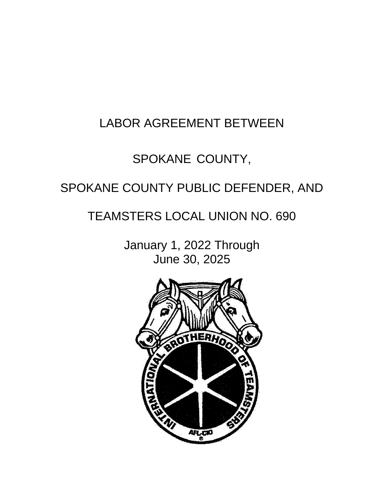## LABOR AGREEMENT BETWEEN

# SPOKANE COUNTY,

# SPOKANE COUNTY PUBLIC DEFENDER, AND

# TEAMSTERS LOCAL UNION NO. 690

January 1, 2022 Through June 30, 2025

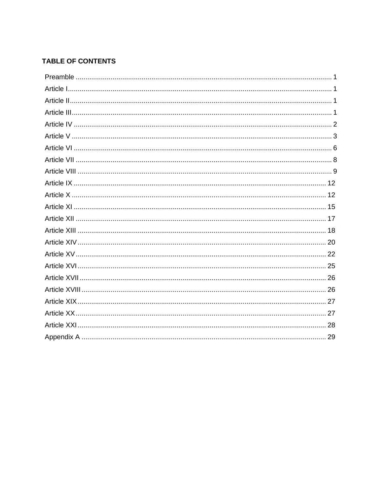## **TABLE OF CONTENTS**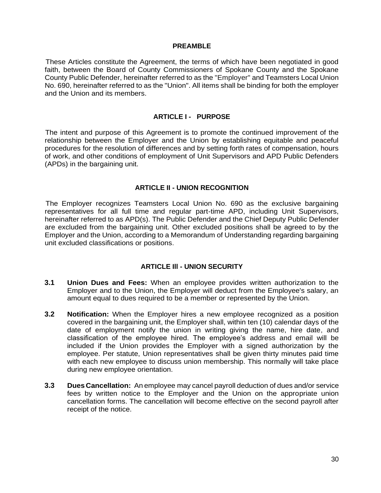#### **PREAMBLE**

These Articles constitute the Agreement, the terms of which have been negotiated in good faith, between the Board of County Commissioners of Spokane County and the Spokane County Public Defender, hereinafter referred to as the "Employer" and Teamsters Local Union No. 690, hereinafter referred to as the "Union". All items shall be binding for both the employer and the Union and its members.

#### **ARTICLE I - PURPOSE**

The intent and purpose of this Agreement is to promote the continued improvement of the relationship between the Employer and the Union by establishing equitable and peaceful procedures for the resolution of differences and by setting forth rates of compensation, hours of work, and other conditions of employment of Unit Supervisors and APD Public Defenders (APDs) in the bargaining unit.

#### **ARTICLE II - UNION RECOGNITION**

The Employer recognizes Teamsters Local Union No. 690 as the exclusive bargaining representatives for all full time and regular part-time APD, including Unit Supervisors, hereinafter referred to as APD(s). The Public Defender and the Chief Deputy Public Defender are excluded from the bargaining unit. Other excluded positions shall be agreed to by the Employer and the Union, according to a Memorandum of Understanding regarding bargaining unit excluded classifications or positions.

#### **ARTICLE Ill - UNION SECURITY**

- **3.1 Union Dues and Fees:** When an employee provides written authorization to the Employer and to the Union, the Employer will deduct from the Employee's salary, an amount equal to dues required to be a member or represented by the Union.
- **3.2 Notification:** When the Employer hires a new employee recognized as a position covered in the bargaining unit, the Employer shall, within ten (10) calendar days of the date of employment notify the union in writing giving the name, hire date, and classification of the employee hired. The employee's address and email will be included if the Union provides the Employer with a signed authorization by the employee. Per statute, Union representatives shall be given thirty minutes paid time with each new employee to discuss union membership. This normally will take place during new employee orientation.
- **3.3 Dues Cancellation:** An employee may cancel payroll deduction of dues and/or service fees by written notice to the Employer and the Union on the appropriate union cancellation forms. The cancellation will become effective on the second payroll after receipt of the notice.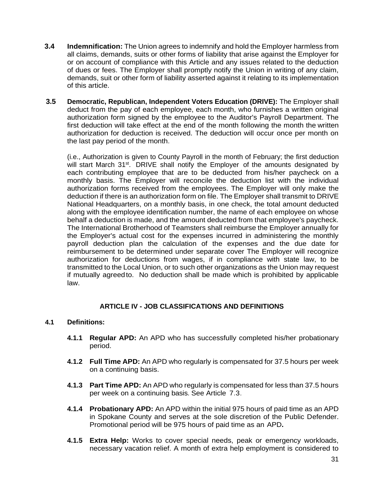- **3.4 Indemnification:** The Union agrees to indemnify and hold the Employer harmless from all claims, demands, suits or other forms of liability that arise against the Employer for or on account of compliance with this Article and any issues related to the deduction of dues or fees. The Employer shall promptly notify the Union in writing of any claim, demands, suit or other form of liability asserted against it relating to its implementation of this article.
- **3.5 Democratic, Republican, Independent Voters Education (DRIVE):** The Employer shall deduct from the pay of each employee, each month, who furnishes a written original authorization form signed by the employee to the Auditor's Payroll Department. The first deduction will take effect at the end of the month following the month the written authorization for deduction is received. The deduction will occur once per month on the last pay period of the month.

(i.e., Authorization is given to County Payroll in the month of February; the first deduction will start March 31<sup>st</sup>. DRIVE shall notify the Employer of the amounts designated by each contributing employee that are to be deducted from his/her paycheck on a monthly basis. The Employer will reconcile the deduction list with the individual authorization forms received from the employees. The Employer will only make the deduction if there is an authorization form on file. The Employer shall transmit to DRIVE National Headquarters, on a monthly basis, in one check, the total amount deducted along with the employee identification number, the name of each employee on whose behalf a deduction is made, and the amount deducted from that employee's paycheck. The International Brotherhood of Teamsters shall reimburse the Employer annually for the Employer's actual cost for the expenses incurred in administering the monthly payroll deduction plan the calculation of the expenses and the due date for reimbursement to be determined under separate cover The Employer will recognize authorization for deductions from wages, if in compliance with state law, to be transmitted to the Local Union, or to such other organizations as the Union may request if mutually agreedto. No deduction shall be made which is prohibited by applicable law.

## **ARTICLE IV - JOB CLASSIFICATIONS AND DEFINITIONS**

## **4.1 Definitions:**

- **4.1.1 Regular APD:** An APD who has successfully completed his/her probationary period.
- **4.1.2 Full Time APD:** An APD who regularly is compensated for 37.5 hours per week on a continuing basis.
- **4.1.3 Part Time APD:** An APD who regularly is compensated for less than 37.5 hours per week on a continuing basis. See Article 7.3.
- **4.1.4 Probationary APD:** An APD within the initial 975 hours of paid time as an APD in Spokane County and serves at the sole discretion of the Public Defender. Promotional period will be 975 hours of paid time as an APD**.**
- **4.1.5 Extra Help:** Works to cover special needs, peak or emergency workloads, necessary vacation relief. A month of extra help employment is considered to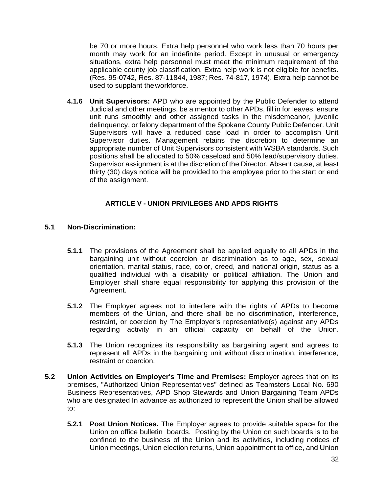be 70 or more hours. Extra help personnel who work less than 70 hours per month may work for an indefinite period. Except in unusual or emergency situations, extra help personnel must meet the minimum requirement of the applicable county job classification. Extra help work is not eligible for benefits. (Res. 95-0742, Res. 87-11844, 1987; Res. 74-817, 1974). Extra help cannot be used to supplant theworkforce.

**4.1.6 Unit Supervisors:** APD who are appointed by the Public Defender to attend Judicial and other meetings, be a mentor to other APDs, fill in for leaves, ensure unit runs smoothly and other assigned tasks in the misdemeanor, juvenile delinquency, or felony department of the Spokane County Public Defender. Unit Supervisors will have a reduced case load in order to accomplish Unit Supervisor duties. Management retains the discretion to determine an appropriate number of Unit Supervisors consistent with WSBA standards. Such positions shall be allocated to 50% caseload and 50% lead/supervisory duties. Supervisor assignment is at the discretion of the Director. Absent cause, at least thirty (30) days notice will be provided to the employee prior to the start or end of the assignment.

## **ARTICLE V - UNION PRIVILEGES AND APDS RIGHTS**

#### **5.1 Non-Discrimination:**

- **5.1.1** The provisions of the Agreement shall be applied equally to all APDs in the bargaining unit without coercion or discrimination as to age, sex, sexual orientation, marital status, race, color, creed, and national origin, status as a qualified individual with a disability or political affiliation. The Union and Employer shall share equal responsibility for applying this provision of the Agreement.
- **5.1.2** The Employer agrees not to interfere with the rights of APDs to become members of the Union, and there shall be no discrimination, interference, restraint, or coercion by The Employer's representative(s) against any APDs regarding activity in an official capacity on behalf of the Union.
- **5.1.3** The Union recognizes its responsibility as bargaining agent and agrees to represent all APDs in the bargaining unit without discrimination, interference, restraint or coercion.
- **5.2 Union Activities on Employer's Time and Premises:** Employer agrees that on its premises, "Authorized Union Representatives" defined as Teamsters Local No. 690 Business Representatives, APD Shop Stewards and Union Bargaining Team APDs who are designated In advance as authorized to represent the Union shall be allowed to:
	- **5.2.1 Post Union Notices.** The Employer agrees to provide suitable space for the Union on office bulletin boards. Posting by the Union on such boards is to be confined to the business of the Union and its activities, including notices of Union meetings, Union election returns, Union appointment to office, and Union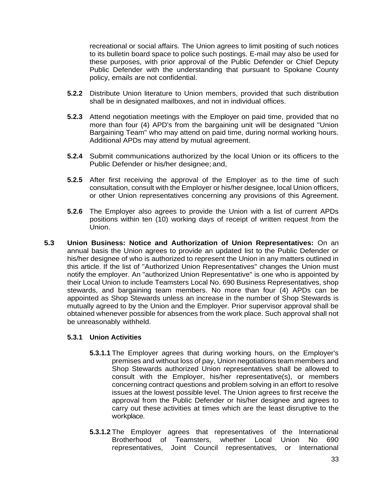recreational or social affairs. The Union agrees to limit positing of such notices to its bulletin board space to police such postings. E-mail may also be used for these purposes, with prior approval of the Public Defender or Chief Deputy Public Defender with the understanding that pursuant to Spokane County policy, emails are not confidential.

- **5.2.2** Distribute Union literature to Union members, provided that such distribution shall be in designated mailboxes, and not in individual offices.
- **5.2.3** Attend negotiation meetings with the Employer on paid time, provided that no more than four (4) APD's from the bargaining unit will be designated "Union Bargaining Team" who may attend on paid time, during normal working hours. Additional APDs may attend by mutual agreement.
- **5.2.4** Submit communications authorized by the local Union or its officers to the Public Defender or his/her designee; and,
- **5.2.5** After first receiving the approval of the Employer as to the time of such consultation, consult with the Employer or his/her designee, local Union officers, or other Union representatives concerning any provisions of this Agreement.
- **5.2.6** The Employer also agrees to provide the Union with a list of current APDs positions within ten (10) working days of receipt of written request from the Union.
- **5.3 Union Business: Notice and Authorization of Union Representatives:** On an annual basis the Union agrees to provide an updated list to the Public Defender or his/her designee of who is authorized to represent the Union in any matters outlined in this article. If the list of "Authorized Union Representatives" changes the Union must notify the employer. An "authorized Union Representative" is one who is appointed by their Local Union to include Teamsters Local No. 690 Business Representatives, shop stewards, and bargaining team members. No more than four (4) APDs can be appointed as Shop Stewards unless an increase in the number of Shop Stewards is mutually agreed to by the Union and the Employer. Prior supervisor approval shall be obtained whenever possible for absences from the work place. Such approval shall not be unreasonably withheld.

#### **5.3.1 Union Activities**

- **5.3.1.1** The Employer agrees that during working hours, on the Employer's premises and without loss of pay, Union negotiations team members and Shop Stewards authorized Union representatives shall be allowed to consult with the Employer, his/her representative(s), or members concerning contract questions and problem solving in an effort to resolve issues at the lowest possible level. The Union agrees to first receive the approval from the Public Defender or his/her designee and agrees to carry out these activities at times which are the least disruptive to the workplace.
- **5.3.1.2** The Employer agrees that representatives of the International Brotherhood of Teamsters, whether Local Union No 690 representatives, Joint Council representatives, or International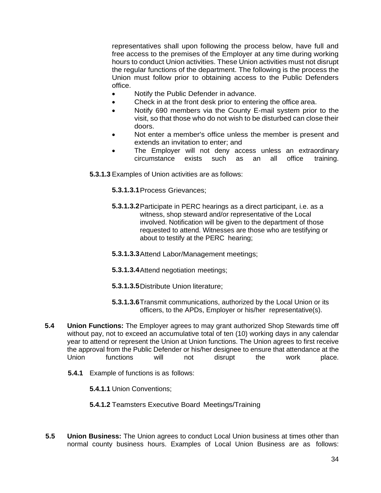representatives shall upon following the process below, have full and free access to the premises of the Employer at any time during working hours to conduct Union activities. These Union activities must not disrupt the regular functions of the department. The following is the process the Union must follow prior to obtaining access to the Public Defenders office.

- Notify the Public Defender in advance.
- Check in at the front desk prior to entering the office area.
- Notify 690 members via the County E-mail system prior to the visit, so that those who do not wish to be disturbed can close their doors.
- Not enter a member's office unless the member is present and extends an invitation to enter; and
- The Employer will not deny access unless an extraordinary circumstance exists such as an all office training.
- **5.3.1.3** Examples of Union activities are as follows:
	- **5.3.1.3.1**Process Grievances;
	- **5.3.1.3.2**Participate in PERC hearings as a direct participant, i.e. as a witness, shop steward and/or representative of the Local involved. Notification will be given to the department of those requested to attend. Witnesses are those who are testifying or about to testify at the PERC hearing;
	- **5.3.1.3.3**Attend Labor/Management meetings;
	- **5.3.1.3.4**Attend negotiation meetings;
	- **5.3.1.3.5**Distribute Union literature;
	- **5.3.1.3.6**Transmit communications, authorized by the Local Union or its officers, to the APDs, Employer or his/her representative(s).
- **5.4 Union Functions:** The Employer agrees to may grant authorized Shop Stewards time off without pay, not to exceed an accumulative total of ten (10) working days in any calendar year to attend or represent the Union at Union functions. The Union agrees to first receive the approval from the Public Defender or his/her designee to ensure that attendance at the Union functions will not disrupt the work place.
	- **5.4.1** Example of functions is as follows:
		- **5.4.1.1** Union Conventions;
		- **5.4.1.2** Teamsters Executive Board Meetings/Training
- **5.5 Union Business:** The Union agrees to conduct Local Union business at times other than normal county business hours. Examples of Local Union Business are as follows: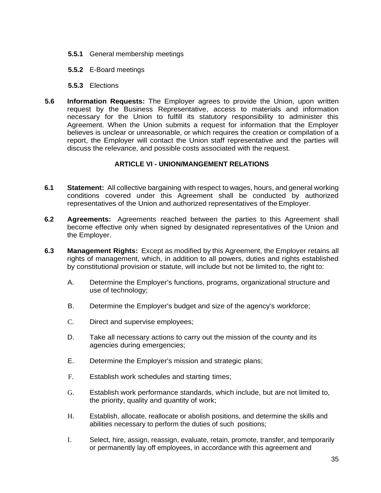- **5.5.1** General membership meetings
- **5.5.2** E-Board meetings
- **5.5.3** Elections
- **5.6 Information Requests:** The Employer agrees to provide the Union, upon written request by the Business Representative, access to materials and information necessary for the Union to fulfill its statutory responsibility to administer this Agreement. When the Union submits a request for information that the Employer believes is unclear or unreasonable, or which requires the creation or compilation of a report, the Employer will contact the Union staff representative and the parties will discuss the relevance, and possible costs associated with the request.

## **ARTICLE VI - UNION/MANGEMENT RELATIONS**

- **6.1 Statement:** All collective bargaining with respect to wages, hours, and general working conditions covered under this Agreement shall be conducted by authorized representatives of the Union and authorized representatives of theEmployer.
- **6.2 Agreements:** Agreements reached between the parties to this Agreement shall become effective only when signed by designated representatives of the Union and the Employer.
- **6.3 Management Rights:** Except as modified by this Agreement, the Employer retains all rights of management, which, in addition to all powers, duties and rights established by constitutional provision or statute, will include but not be limited to, the right to:
	- A. Determine the Employer's functions, programs, organizational structure and use of technology;
	- B. Determine the Employer's budget and size of the agency's workforce;
	- C. Direct and supervise employees;
	- D. Take all necessary actions to carry out the mission of the county and its agencies during emergencies;
	- E. Determine the Employer's mission and strategic plans;
	- F. Establish work schedules and starting times;
	- G. Establish work performance standards, which include, but are not limited to, the priority, quality and quantity of work;
	- H. Establish, allocate, reallocate or abolish positions, and determine the skills and abilities necessary to perform the duties of such positions;
	- I. Select, hire, assign, reassign, evaluate, retain, promote, transfer, and temporarily or permanently lay off employees, in accordance with this agreement and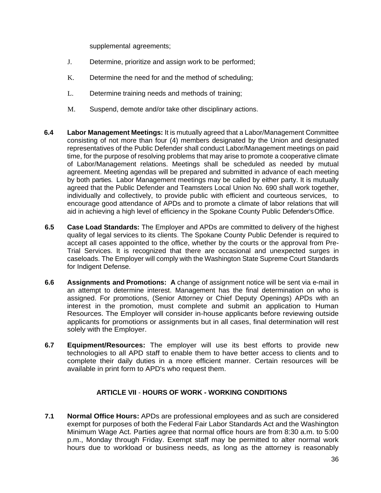supplemental agreements;

- J. Determine, prioritize and assign work to be performed;
- K. Determine the need for and the method of scheduling;
- L. Determine training needs and methods of training;
- M. Suspend, demote and/or take other disciplinary actions.
- **6.4 Labor Management Meetings:** It is mutually agreed that a Labor/Management Committee consisting of not more than four (4) members designated by the Union and designated representatives of the Public Defender shall conduct Labor/Management meetings on paid time, for the purpose of resolving problems that may arise to promote a cooperative climate of Labor/Management relations. Meetings shall be scheduled as needed by mutual agreement. Meeting agendas will be prepared and submitted in advance of each meeting by both parties. Labor Management meetings may be called by either party. It is mutually agreed that the Public Defender and Teamsters Local Union No. 690 shall work together, individually and collectively, to provide public with efficient and courteous services, to encourage good attendance of APDs and to promote a climate of labor relations that will aid in achieving a high level of efficiency in the Spokane County Public Defender'sOffice.
- **6.5 Case Load Standards:** The Employer and APDs are committed to delivery of the highest quality of legal services to its clients. The Spokane County Public Defender is required to accept all cases appointed to the office, whether by the courts or the approval from Pre-Trial Services. It is recognized that there are occasional and unexpected surges in caseloads. The Employer will comply with the Washington State Supreme Court Standards for Indigent Defense.
- **6.6 Assignments and Promotions: A** change of assignment notice will be sent via e-mail in an attempt to determine interest. Management has the final determination on who is assigned. For promotions, (Senior Attorney or Chief Deputy Openings) APDs with an interest in the promotion, must complete and submit an application to Human Resources. The Employer will consider in-house applicants before reviewing outside applicants for promotions or assignments but in all cases, final determination will rest solely with the Employer.
- **6.7 Equipment/Resources:** The employer will use its best efforts to provide new technologies to all APD staff to enable them to have better access to clients and to complete their daily duties in a more efficient manner. Certain resources will be available in print form to APD's who request them.

## **ARTICLE VII** - **HOURS OF WORK - WORKING CONDITIONS**

**7.1 Normal Office Hours:** APDs are professional employees and as such are considered exempt for purposes of both the Federal Fair Labor Standards Act and the Washington Minimum Wage Act. Parties agree that normal office hours are from 8:30 a.m. to 5:00 p.m., Monday through Friday. Exempt staff may be permitted to alter normal work hours due to workload or business needs, as long as the attorney is reasonably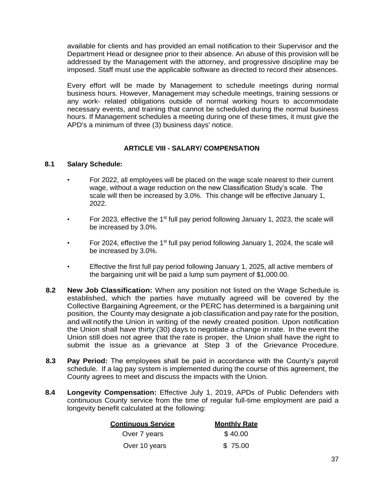available for clients and has provided an email notification to their Supervisor and the Department Head or designee prior to their absence. An abuse of this provision will be addressed by the Management with the attorney, and progressive discipline may be imposed. Staff must use the applicable software as directed to record their absences.

Every effort will be made by Management to schedule meetings during normal business hours. However, Management may schedule meetings, training sessions or any work- related obligations outside of normal working hours to accommodate necessary events, and training that cannot be scheduled during the normal business hours. If Management schedules a meeting during one of these times, it must give the APD's a minimum of three (3) business days' notice.

## **ARTICLE VIII - SALARY/ COMPENSATION**

### **8.1 Salary Schedule:**

- For 2022, all employees will be placed on the wage scale nearest to their current wage, without a wage reduction on the new Classification Study's scale. The scale will then be increased by 3.0%. This change will be effective January 1, 2022.
- For 2023, effective the 1<sup>st</sup> full pay period following January 1, 2023, the scale will be increased by 3.0%.
- For 2024, effective the 1<sup>st</sup> full pay period following January 1, 2024, the scale will be increased by 3.0%.
- Effective the first full pay period following January 1, 2025, all active members of the bargaining unit will be paid a lump sum payment of \$1,000.00.
- **8.2 New Job Classification:** When any position not listed on the Wage Schedule is established, which the parties have mutually agreed will be covered by the Collective Bargaining Agreement, or the PERC has determined is a bargaining unit position, the County may designate a job classification and pay rate for the position, and will notify the Union in writing of the newly created position. Upon notification the Union shall have thirty (30) days to negotiate a change in rate. In the event the Union still does not agree that the rate is proper, the Union shall have the right to submit the issue as a grievance at Step 3 of the Grievance Procedure.
- **8.3 Pay Period:** The employees shall be paid in accordance with the County's payroll schedule. If a lag pay system is implemented during the course of this agreement, the County agrees to meet and discuss the impacts with the Union.
- **8.4 Longevity Compensation:** Effective July 1, 2019, APDs of Public Defenders with continuous County service from the time of regular full-time employment are paid a longevity benefit calculated at the following:

| <b>Continuous Service</b> | <b>Monthly Rate</b> |
|---------------------------|---------------------|
| Over 7 years              | \$40.00             |
| Over 10 years             | \$75.00             |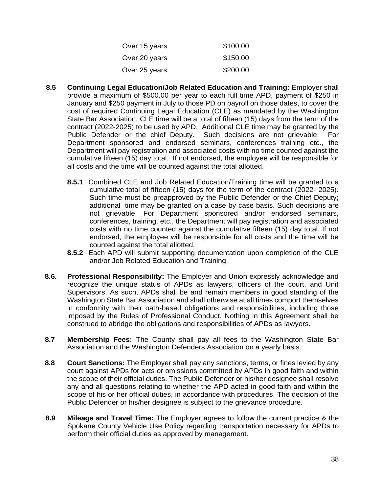| Over 15 years | \$100.00 |
|---------------|----------|
| Over 20 years | \$150.00 |
| Over 25 years | \$200.00 |

- **8.5 Continuing Legal Education/Job Related Education and Training:** Employer shall provide a maximum of \$500.00 per year to each full time APD, payment of \$250 in January and \$250 payment in July to those PD on payroll on those dates, to cover the cost of required Continuing Legal Education (CLE) as mandated by the Washington State Bar Association, CLE time will be a total of fifteen (15) days from the term of the contract (2022-2025) to be used by APD. Additional CLE time may be granted by the Public Defender or the chief Deputy. Such decisions are not grievable. For Department sponsored and endorsed seminars, conferences training etc., the Department will pay registration and associated costs with no time counted against the cumulative fifteen (15) day total. If not endorsed, the employee will be responsible for all costs and the time will be counted against the total allotted.
	- **8.5.1** Combined CLE and Job Related Education/Training time will be granted to a cumulative total of fifteen (15) days for the term of the contract (2022- 2025). Such time must be preapproved by the Public Defender or the Chief Deputy; additional time may be granted on a case by case basis. Such decisions are not grievable. For Department sponsored and/or endorsed seminars, conferences, training, etc., the Department will pay registration and associated costs with no time counted against the cumulative fifteen (15) day total. If not endorsed, the employee will be responsible for all costs and the time will be counted against the total allotted.
	- **8.5.2** Each APD will submit supporting documentation upon completion of the CLE and/or Job Related Education and Training.
- **8.6. Professional Responsibility:** The Employer and Union expressly acknowledge and recognize the unique status of APDs as lawyers, officers of the court, and Unit Supervisors. As such, APDs shall be and remain members in good standing of the Washington State Bar Association and shall otherwise at all times comport themselves in conformity with their oath-based obligations and responsibilities, including those imposed by the Rules of Professional Conduct. Nothing in this Agreement shall be construed to abridge the obligations and responsibilities of APDs as lawyers.
- **8.7 Membership Fees:** The County shall pay all fees to the Washington State Bar Association and the Washington Defenders Association on a yearly basis.
- **8.8 Court Sanctions:** The Employer shall pay any sanctions, terms, or fines levied by any court against APDs for acts or omissions committed by APDs in good faith and within the scope of their official duties. The Public Defender or his/her designee shall resolve any and all questions relating to whether the APD acted in good faith and within the scope of his or her official duties, in accordance with procedures. The decision of the Public Defender or his/her designee is subject to the grievance procedure.
- **8.9 Mileage and Travel Time:** The Employer agrees to follow the current practice & the Spokane County Vehicle Use Policy regarding transportation necessary for APDs to perform their official duties as approved by management.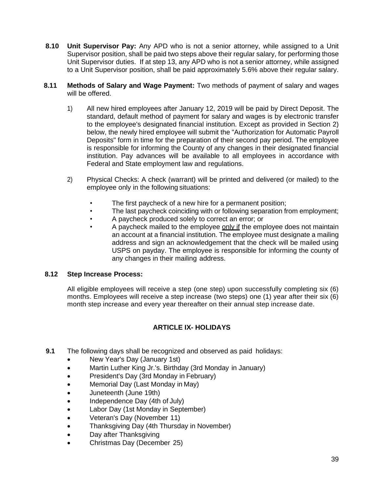- **8.10 Unit Supervisor Pay:** Any APD who is not a senior attorney, while assigned to a Unit Supervisor position, shall be paid two steps above their regular salary, for performing those Unit Supervisor duties. If at step 13, any APD who is not a senior attorney, while assigned to a Unit Supervisor position, shall be paid approximately 5.6% above their regular salary.
- **8.11 Methods of Salary and Wage Payment:** Two methods of payment of salary and wages will be offered.
	- 1) All new hired employees after January 12, 2019 will be paid by Direct Deposit. The standard, default method of payment for salary and wages is by electronic transfer to the employee's designated financial institution. Except as provided in Section 2) below, the newly hired employee will submit the "Authorization for Automatic Payroll Deposits" form in time for the preparation of their second pay period. The employee is responsible for informing the County of any changes in their designated financial institution. Pay advances will be available to all employees in accordance with Federal and State employment law and regulations.
	- 2) Physical Checks: A check (warrant) will be printed and delivered (or mailed) to the employee only in the following situations:
		- The first paycheck of a new hire for a permanent position;
		- The last paycheck coinciding with or following separation from employment;
		- A paycheck produced solely to correct an error; or
		- A paycheck mailed to the employee only if the employee does not maintain an account at a financial institution. The employee must designate a mailing address and sign an acknowledgement that the check will be mailed using USPS on payday. The employee is responsible for informing the county of any changes in their mailing address.

## **8.12 Step Increase Process:**

All eligible employees will receive a step (one step) upon successfully completing six (6) months. Employees will receive a step increase (two steps) one (1) year after their six (6) month step increase and every year thereafter on their annual step increase date.

## **ARTICLE IX- HOLIDAYS**

- **9.1** The following days shall be recognized and observed as paid holidays:
	- New Year's Day (January 1st)
	- Martin Luther King Jr.'s. Birthday (3rd Monday in January)
	- President's Day (3rd Monday in February)
	- Memorial Day (Last Monday in May)
	- Juneteenth (June 19th)
	- Independence Day (4th of July)
	- Labor Day (1st Monday in September)
	- Veteran's Day (November 11)
	- Thanksgiving Day (4th Thursday in November)
	- Day after Thanksgiving
	- Christmas Day (December 25)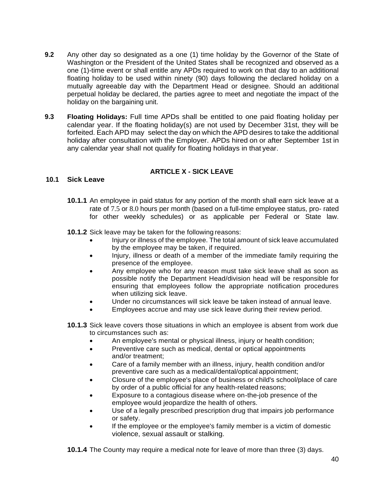- **9.2** Any other day so designated as a one (1) time holiday by the Governor of the State of Washington or the President of the United States shall be recognized and observed as a one (1)-time event or shall entitle any APDs required to work on that day to an additional floating holiday to be used within ninety (90) days following the declared holiday on a mutually agreeable day with the Department Head or designee. Should an additional perpetual holiday be declared, the parties agree to meet and negotiate the impact of the holiday on the bargaining unit.
- **9.3 Floating Holidays:** Full time APDs shall be entitled to one paid floating holiday per calendar year. If the floating holiday(s) are not used by December 31st, they will be forfeited. Each APD may select the day on which the APD desires to take the additional holiday after consultation with the Employer. APDs hired on or after September 1st in any calendar year shall not qualify for floating holidays in that year.

## **ARTICLE X - SICK LEAVE**

#### **10.1 Sick Leave**

- **10.1.1** An employee in paid status for any portion of the month shall earn sick leave at a rate of 7.5 or 8.0 hours per month (based on a full-time employee status, pro- rated for other weekly schedules) or as applicable per Federal or State law.
- **10.1.2** Sick leave may be taken for the following reasons:
	- Injury or illness of the employee. The total amount of sick leave accumulated by the employee may be taken, if required.
	- Injury, illness or death of a member of the immediate family requiring the presence of the employee.
	- Any employee who for any reason must take sick leave shall as soon as possible notify the Department Head/division head will be responsible for ensuring that employees follow the appropriate notification procedures when utilizing sick leave.
	- Under no circumstances will sick leave be taken instead of annual leave.
	- Employees accrue and may use sick leave during their review period.
- **10.1.3** Sick leave covers those situations in which an employee is absent from work due to circumstances such as:
	- An employee's mental or physical illness, injury or health condition;
	- Preventive care such as medical, dental or optical appointments and/or treatment;
	- Care of a family member with an illness, injury, health condition and/or preventive care such as a medical/dental/optical appointment;
	- Closure of the employee's place of business or child's school/place of care by order of a public official for any health-related reasons;
	- Exposure to a contagious disease where on-the-job presence of the employee would jeopardize the health of others.
	- Use of a legally prescribed prescription drug that impairs job performance or safety.
	- If the employee or the employee's family member is a victim of domestic violence, sexual assault or stalking.

**10.1.4** The County may require a medical note for leave of more than three (3) days.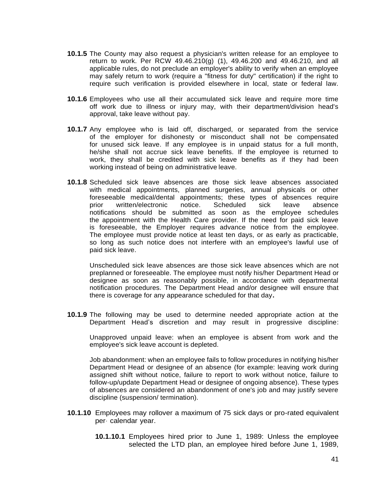- **10.1.5** The County may also request a physician's written release for an employee to return to work. Per RCW 49.46.210(g) (1), 49.46.200 and 49.46.210, and all applicable rules, do not preclude an employer's ability to verify when an employee may safely return to work (require a "fitness for duty" certification) if the right to require such verification is provided elsewhere in local, state or federal law.
- **10.1.6** Employees who use all their accumulated sick leave and require more time off work due to illness or injury may, with their department/division head's approval, take leave without pay.
- **10.1.7** Any employee who is laid off, discharged, or separated from the service of the employer for dishonesty or misconduct shall not be compensated for unused sick leave. If any employee is in unpaid status for a full month, he/she shall not accrue sick leave benefits. If the employee is returned to work, they shall be credited with sick leave benefits as if they had been working instead of being on administrative leave.
- **10.1.8** Scheduled sick leave absences are those sick leave absences associated with medical appointments, planned surgeries, annual physicals or other foreseeable medical/dental appointments; these types of absences require prior written/electronic notice. Scheduled sick leave absence notifications should be submitted as soon as the employee schedules the appointment with the Health Care provider. If the need for paid sick leave is foreseeable, the Employer requires advance notice from the employee. The employee must provide notice at least ten days, or as early as practicable, so long as such notice does not interfere with an employee's lawful use of paid sick leave.

Unscheduled sick leave absences are those sick leave absences which are not preplanned or foreseeable. The employee must notify his/her Department Head or designee as soon as reasonably possible, in accordance with departmental notification procedures. The Department Head and/or designee will ensure that there is coverage for any appearance scheduled for that day**.** 

**10.1.9** The following may be used to determine needed appropriate action at the Department Head's discretion and may result in progressive discipline:

Unapproved unpaid leave: when an employee is absent from work and the employee's sick leave account is depleted.

Job abandonment: when an employee fails to follow procedures in notifying his/her Department Head or designee of an absence (for example: leaving work during assigned shift without notice, failure to report to work without notice, failure to follow-up/update Department Head or designee of ongoing absence). These types of absences are considered an abandonment of one's job and may justify severe discipline (suspension/ termination).

- **10.1.10** Employees may rollover a maximum of 75 sick days or pro-rated equivalent per· calendar year.
	- **10.1.10.1** Employees hired prior to June 1, 1989: Unless the employee selected the LTD plan, an employee hired before June 1, 1989,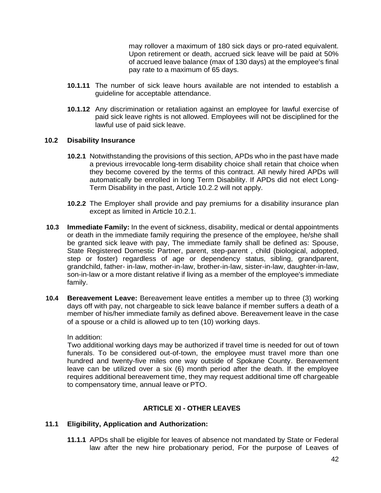may rollover a maximum of 180 sick days or pro-rated equivalent. Upon retirement or death, accrued sick leave will be paid at 50% of accrued leave balance (max of 130 days) at the employee's final pay rate to a maximum of 65 days.

- **10.1.11** The number of sick leave hours available are not intended to establish a guideline for acceptable attendance.
- **10.1.12** Any discrimination or retaliation against an employee for lawful exercise of paid sick leave rights is not allowed. Employees will not be disciplined for the lawful use of paid sick leave.

#### **10.2 Disability Insurance**

- **10.2.1** Notwithstanding the provisions of this section, APDs who in the past have made a previous irrevocable long-term disability choice shall retain that choice when they become covered by the terms of this contract. All newly hired APDs will automatically be enrolled in long Term Disability. If APDs did not elect Long-Term Disability in the past, Article 10.2.2 will not apply.
- **10.2.2** The Employer shall provide and pay premiums for a disability insurance plan except as limited in Article 10.2.1.
- **10.3 Immediate Family:** In the event of sickness, disability, medical or dental appointments or death in the immediate family requiring the presence of the employee, he/she shall be granted sick leave with pay, The immediate family shall be defined as: Spouse, State Registered Domestic Partner, parent, step-parent , child (biological, adopted, step or foster) regardless of age or dependency status, sibling, grandparent, grandchild, father- in-law, mother-in-law, brother-in-law, sister-in-law, daughter-in-law, son-in-law or a more distant relative if living as a member of the employee's immediate family.
- **10.4 Bereavement Leave:** Bereavement leave entitles a member up to three (3) working days off with pay, not chargeable to sick leave balance if member suffers a death of a member of his/her immediate family as defined above. Bereavement leave in the case of a spouse or a child is allowed up to ten (10) working days.

#### In addition:

Two additional working days may be authorized if travel time is needed for out of town funerals. To be considered out-of-town, the employee must travel more than one hundred and twenty-five miles one way outside of Spokane County. Bereavement leave can be utilized over a six (6) month period after the death. If the employee requires additional bereavement time, they may request additional time off chargeable to compensatory time, annual leave or PTO.

#### **ARTICLE XI - OTHER LEAVES**

#### **11.1 Eligibility, Application and Authorization:**

**11.1.1** APDs shall be eligible for leaves of absence not mandated by State or Federal law after the new hire probationary period, For the purpose of Leaves of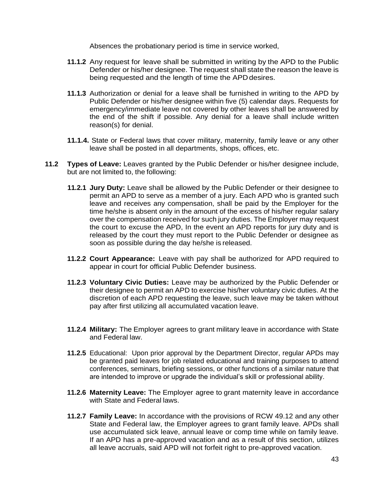Absences the probationary period is time in service worked,

- **11.1.2** Any request for leave shall be submitted in writing by the APD to the Public Defender or his/her designee. The request shall state the reason the leave is being requested and the length of time the APD desires.
- **11.1.3** Authorization or denial for a leave shall be furnished in writing to the APD by Public Defender or his/her designee within five (5) calendar days. Requests for emergency/immediate leave not covered by other leaves shall be answered by the end of the shift if possible. Any denial for a leave shall include written reason(s) for denial.
- **11.1.4.** State or Federal laws that cover military, maternity, family leave or any other leave shall be posted in all departments, shops, offices, etc.
- **11.2 Types of Leave:** Leaves granted by the Public Defender or his/her designee include, but are not limited to, the following:
	- **11.2.1 Jury Duty:** Leave shall be allowed by the Public Defender or their designee to permit an APD to serve as a member of a jury. Each APD who is granted such leave and receives any compensation, shall be paid by the Employer for the time he/she is absent only in the amount of the excess of his/her regular salary over the compensation received for such jury duties. The Employer may request the court to excuse the APD, In the event an APD reports for jury duty and is released by the court they must report to the Public Defender or designee as soon as possible during the day he/she is released.
	- **11.2.2 Court Appearance:** Leave with pay shall be authorized for APD required to appear in court for official Public Defender business.
	- **11.2.3 Voluntary Civic Duties:** Leave may be authorized by the Public Defender or their designee to permit an APD to exercise his/her voluntary civic duties. At the discretion of each APD requesting the leave, such leave may be taken without pay after first utilizing all accumulated vacation leave.
	- **11.2.4 Military:** The Employer agrees to grant military leave in accordance with State and Federal law.
	- **11.2.5** Educational: Upon prior approval by the Department Director, regular APDs may be granted paid leaves for job related educational and training purposes to attend conferences, seminars, briefing sessions, or other functions of a similar nature that are intended to improve or upgrade the individual's skill or professional ability.
	- **11.2.6 Maternity Leave:** The Employer agree to grant maternity leave in accordance with State and Federal laws.
	- **11.2.7 Family Leave:** In accordance with the provisions of RCW 49.12 and any other State and Federal law, the Employer agrees to grant family leave. APDs shall use accumulated sick leave, annual leave or comp time while on family leave. If an APD has a pre-approved vacation and as a result of this section, utilizes all leave accruals, said APD will not forfeit right to pre-approved vacation.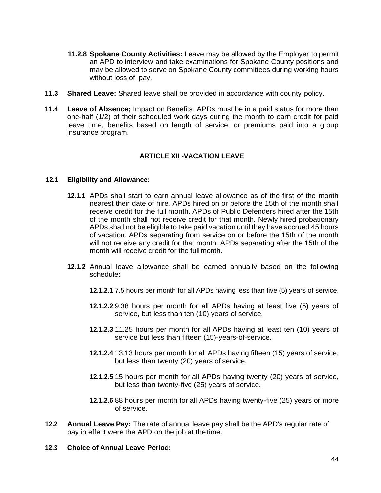- **11.2.8 Spokane County Activities:** Leave may be allowed by the Employer to permit an APD to interview and take examinations for Spokane County positions and may be allowed to serve on Spokane County committees during working hours without loss of pay.
- **11.3 Shared Leave:** Shared leave shall be provided in accordance with county policy.
- **11.4 Leave of Absence;** Impact on Benefits: APDs must be in a paid status for more than one-half (1/2) of their scheduled work days during the month to earn credit for paid leave time, benefits based on length of service, or premiums paid into a group insurance program.

## **ARTICLE XII -VACATION LEAVE**

#### **12.1 Eligibility and Allowance:**

- **12.1.1** APDs shall start to earn annual leave allowance as of the first of the month nearest their date of hire. APDs hired on or before the 15th of the month shall receive credit for the full month. APDs of Public Defenders hired after the 15th of the month shall not receive credit for that month. Newly hired probationary APDs shall not be eligible to take paid vacation until they have accrued 45 hours of vacation. APDs separating from service on or before the 15th of the month will not receive any credit for that month. APDs separating after the 15th of the month will receive credit for the fullmonth.
- **12.1.2** Annual leave allowance shall be earned annually based on the following schedule:
	- **12.1.2.1** 7.5 hours per month for all APDs having less than five (5) years of service.
	- **12.1.2.2** 9.38 hours per month for all APDs having at least five (5) years of service, but less than ten (10) years of service.
	- **12.1.2.3** 11.25 hours per month for all APDs having at least ten (10) years of service but less than fifteen (15)-years-of-service.
	- **12.1.2.4** 13.13 hours per month for all APDs having fifteen (15) years of service, but less than twenty (20) years of service.
	- **12.1.2.5** 15 hours per month for all APDs having twenty (20) years of service, but less than twenty-five (25) years of service.
	- **12.1.2.6** 88 hours per month for all APDs having twenty-five (25) years or more of service.
- **12.2 Annual Leave Pay:** The rate of annual leave pay shall be the APD's regular rate of pay in effect were the APD on the job at the time.

#### **12.3 Choice of Annual Leave Period:**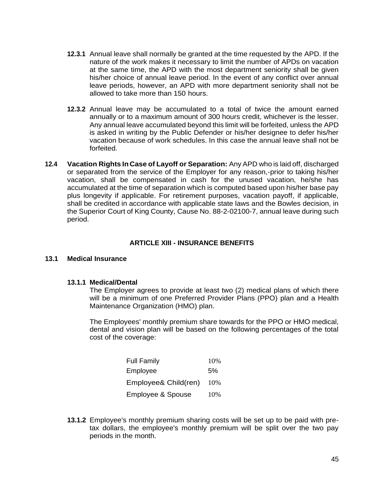- **12.3.1** Annual leave shall normally be granted at the time requested by the APD. If the nature of the work makes it necessary to limit the number of APDs on vacation at the same time, the APD with the most department seniority shall be given his/her choice of annual leave period. In the event of any conflict over annual leave periods, however, an APD with more department seniority shall not be allowed to take more than 150 hours.
- **12.3.2** Annual leave may be accumulated to a total of twice the amount earned annually or to a maximum amount of 300 hours credit, whichever is the lesser. Any annual leave accumulated beyond this limit will be forfeited, unless the APD is asked in writing by the Public Defender or his/her designee to defer his/her vacation because of work schedules. In this case the annual leave shall not be forfeited.
- **12.4 Vacation Rights In Case of Layoff or Separation:** Any APD who is laid off, discharged or separated from the service of the Employer for any reason,-prior to taking his/her vacation, shall be compensated in cash for the unused vacation, he/she has accumulated at the time of separation which is computed based upon his/her base pay plus longevity if applicable. For retirement purposes, vacation payoff, if applicable, shall be credited in accordance with applicable state laws and the Bowles decision, in the Superior Court of King County, Cause No. 88-2-02100-7, annual leave during such period.

#### **ARTICLE XIII - INSURANCE BENEFITS**

#### **13.1 Medical Insurance**

#### **13.1.1 Medical/Dental**

The Employer agrees to provide at least two (2) medical plans of which there will be a minimum of one Preferred Provider Plans (PPO) plan and a Health Maintenance Organization (HMO) plan.

The Employees' monthly premium share towards for the PPO or HMO medical, dental and vision plan will be based on the following percentages of the total cost of the coverage:

| <b>Full Family</b>   | 10% |
|----------------------|-----|
| Employee             | 5%  |
| Employee& Child(ren) | 10% |
| Employee & Spouse    | 10% |

**13.1.2** Employee's monthly premium sharing costs will be set up to be paid with pretax dollars, the employee's monthly premium will be split over the two pay periods in the month.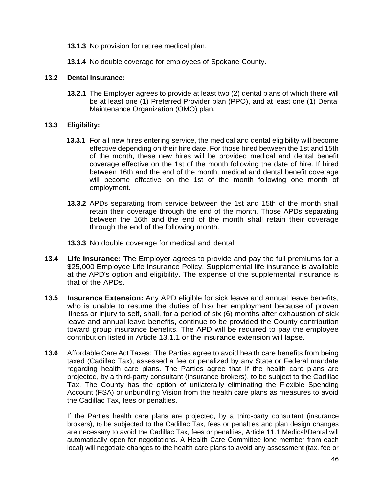- **13.1.3** No provision for retiree medical plan.
- **13.1.4** No double coverage for employees of Spokane County.

#### **13.2 Dental Insurance:**

**13.2.1** The Employer agrees to provide at least two (2) dental plans of which there will be at least one (1) Preferred Provider plan (PPO), and at least one (1) Dental Maintenance Organization (OMO) plan.

#### **13.3 Eligibility:**

- **13.3.1** For all new hires entering service, the medical and dental eligibility will become effective depending on their hire date. For those hired between the 1st and 15th of the month, these new hires will be provided medical and dental benefit coverage effective on the 1st of the month following the date of hire. If hired between 16th and the end of the month, medical and dental benefit coverage will become effective on the 1st of the month following one month of employment.
- **13.3.2** APDs separating from service between the 1st and 15th of the month shall retain their coverage through the end of the month. Those APDs separating between the 16th and the end of the month shall retain their coverage through the end of the following month.
- **13.3.3** No double coverage for medical and dental.
- **13.4 Life Insurance:** The Employer agrees to provide and pay the full premiums for a \$25,000 Employee Life Insurance Policy. Supplemental life insurance is available at the APD's option and eligibility. The expense of the supplemental insurance is that of the APDs.
- **13.5 Insurance Extension:** Any APD eligible for sick leave and annual leave benefits, who is unable to resume the duties of his/ her employment because of proven illness or injury to self, shall, for a period of six (6) months after exhaustion of sick leave and annual leave benefits, continue to be provided the County contribution toward group insurance benefits. The APD will be required to pay the employee contribution listed in Article 13.1.1 or the insurance extension will lapse.
- **13.6** Affordable Care Act Taxes: The Parties agree to avoid health care benefits from being taxed (Cadillac Tax), assessed a fee or penalized by any State or Federal mandate regarding health care plans. The Parties agree that If the health care plans are projected, by a third-party consultant (insurance brokers), to be subject to the Cadillac Tax. The County has the option of unilaterally eliminating the Flexible Spending Account (FSA) or unbundling Vision from the health care plans as measures to avoid the Cadillac Tax, fees or penalties.

If the Parties health care plans are projected, by a third-party consultant (insurance brokers), to be subjected to the Cadillac Tax, fees or penalties and plan design changes are necessary to avoid the Cadillac Tax, fees or penalties, Article 11.1 Medical/Dental will automatically open for negotiations. A Health Care Committee lone member from each local) will negotiate changes to the health care plans to avoid any assessment (tax. fee or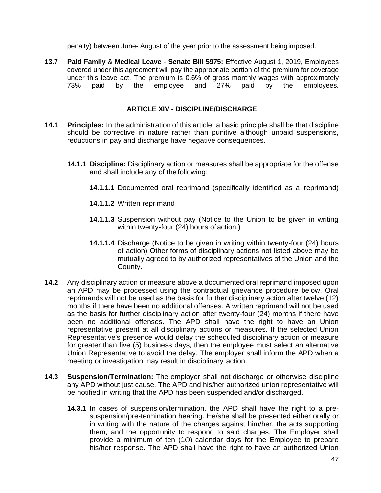penalty) between June- August of the year prior to the assessment beingimposed.

**13.7 Paid Family** & **Medical Leave** - **Senate Bill 5975:** Effective August 1, 2019, Employees covered under this agreement will pay the appropriate portion of the premium for coverage under this leave act. The premium is 0.6% of gross monthly wages with approximately 73% paid by the employee and 27% paid by the employees.

#### **ARTICLE XIV - DISCIPLINE/DISCHARGE**

- **14.1 Principles:** In the administration of this article, a basic principle shall be that discipline should be corrective in nature rather than punitive although unpaid suspensions, reductions in pay and discharge have negative consequences.
	- **14.1.1 Discipline:** Disciplinary action or measures shall be appropriate for the offense and shall include any of the following:
		- **14.1.1.1** Documented oral reprimand (specifically identified as a reprimand)
		- **14.1.1.2** Written reprimand
		- **14.1.1.3** Suspension without pay (Notice to the Union to be given in writing within twenty-four (24) hours of action.)
		- **14.1.1.4** Discharge (Notice to be given in writing within twenty-four (24) hours of action) Other forms of disciplinary actions not listed above may be mutually agreed to by authorized representatives of the Union and the County.
- **14.2** Any disciplinary action or measure above a documented oral reprimand imposed upon an APD may be processed using the contractual grievance procedure below. Oral reprimands will not be used as the basis for further disciplinary action after twelve (12) months if there have been no additional offenses. A written reprimand will not be used as the basis for further disciplinary action after twenty-four (24) months if there have been no additional offenses. The APD shall have the right to have an Union representative present at all disciplinary actions or measures. If the selected Union Representative's presence would delay the scheduled disciplinary action or measure for greater than five (5) business days, then the employee must select an alternative Union Representative to avoid the delay. The employer shall inform the APD when a meeting or investigation may result in disciplinary action.
- **14.3 Suspension/Termination:** The employer shall not discharge or otherwise discipline any APD without just cause. The APD and his/her authorized union representative will be notified in writing that the APD has been suspended and/or discharged.
	- **14.3.1** In cases of suspension/termination, the APD shall have the right to a presuspension/pre-termination hearing. He/she shall be presented either orally or in writing with the nature of the charges against him/her, the acts supporting them, and the opportunity to respond to said charges. The Employer shall provide a minimum of ten (1O) calendar days for the Employee to prepare his/her response. The APD shall have the right to have an authorized Union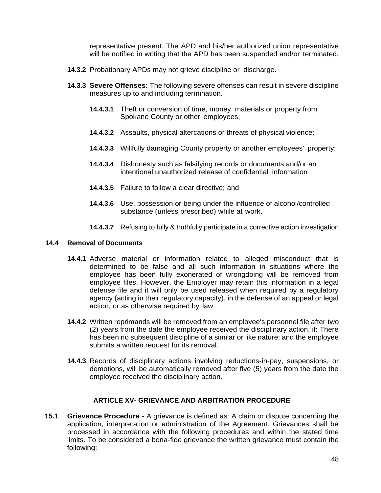representative present. The APD and his/her authorized union representative will be notified in writing that the APD has been suspended and/or terminated.

- **14.3.2** Probationary APDs may not grieve discipline or discharge.
- **14.3.3 Severe Offenses:** The following severe offenses can result in severe discipline measures up to and including termination.
	- **14.4.3.1** Theft or conversion of time, money, materials or property from Spokane County or other employees;
	- **14.4.3.2** Assaults, physical altercations or threats of physical violence;
	- **14.4.3.3** Willfully damaging County property or another employees' property;
	- **14.4.3.4** Dishonesty such as falsifying records or documents and/or an intentional unauthorized release of confidential information
	- **14.4.3.5** Failure to follow a clear directive; and
	- **14.4.3.6** Use, possession or being under the influence of alcohol/controlled substance (unless prescribed) while at work.
	- **14.4.3.7** Refusing to fully & truthfully participate in a corrective action investigation

#### **14.4 Removal of Documents**

- **14.4.1** Adverse material or information related to alleged misconduct that is determined to be false and all such information in situations where the employee has been fully exonerated of wrongdoing will be removed from employee files. However, the Employer may retain this information in a legal defense file and it will only be used released when required by a regulatory agency (acting in their regulatory capacity), in the defense of an appeal or legal action, or as otherwise required by law.
- **14.4.2** Written reprimands will be removed from an employee's personnel file after two (2) years from the date the employee received the disciplinary action, if: There has been no subsequent discipline of a similar or like nature; and the employee submits a written request for its removal.
- **14.4.3** Records of disciplinary actions involving reductions-in-pay, suspensions, or demotions, will be automatically removed after five (5) years from the date the employee received the disciplinary action.

### **ARTICLE XV- GRIEVANCE AND ARBITRATION PROCEDURE**

**15.1 Grievance Procedure** - A grievance is defined as: A claim or dispute concerning the application, interpretation or administration of the Agreement. Grievances shall be processed in accordance with the following procedures and within the stated time limits. To be considered a bona-fide grievance the written grievance must contain the following: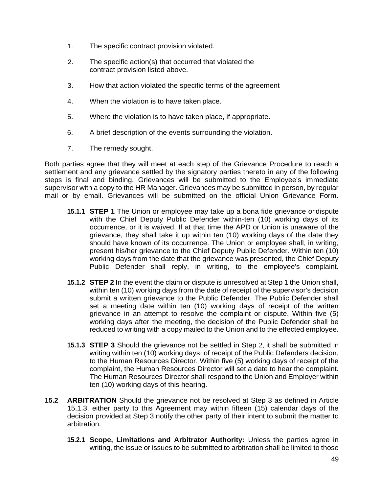- 1. The specific contract provision violated.
- 2. The specific action(s) that occurred that violated the contract provision listed above.
- 3. How that action violated the specific terms of the agreement
- 4. When the violation is to have taken place.
- 5. Where the violation is to have taken place, if appropriate.
- 6. A brief description of the events surrounding the violation.
- 7. The remedy sought.

Both parties agree that they will meet at each step of the Grievance Procedure to reach a settlement and any grievance settled by the signatory parties thereto in any of the following steps is final and binding. Grievances will be submitted to the Employee's immediate supervisor with a copy to the HR Manager. Grievances may be submitted in person, by regular mail or by email. Grievances will be submitted on the official Union Grievance Form.

- **15.1.1 STEP 1** The Union or employee may take up a bona fide grievance or dispute with the Chief Deputy Public Defender within-ten (10) working days of its occurrence, or it is waived. If at that time the APD or Union is unaware of the grievance, they shall take it up within ten (10) working days of the date they should have known of its occurrence. The Union or employee shall, in writing, present his/her grievance to the Chief Deputy Public Defender. Within ten (10) working days from the date that the grievance was presented, the Chief Deputy Public Defender shall reply, in writing, to the employee's complaint.
- **15.1.2 STEP 2** In the event the claim or dispute is unresolved at Step 1 the Union shall, within ten (10) working days from the date of receipt of the supervisor's decision submit a written grievance to the Public Defender. The Public Defender shall set a meeting date within ten (10) working days of receipt of the written grievance in an attempt to resolve the complaint or dispute. Within five (5) working days after the meeting, the decision of the Public Defender shall be reduced to writing with a copy mailed to the Union and to the effected employee.
- **15.1.3 STEP 3** Should the grievance not be settled in Step 2, it shall be submitted in writing within ten (10) working days, of receipt of the Public Defenders decision, to the Human Resources Director. Within five (5) working days of receipt of the complaint, the Human Resources Director will set a date to hear the complaint. The Human Resources Director shall respond to the Union and Employer within ten (10) working days of this hearing.
- **15.2 ARBITRATION** Should the grievance not be resolved at Step 3 as defined in Article 15.1.3, either party to this Agreement may within fifteen (15) calendar days of the decision provided at Step 3 notify the other party of their intent to submit the matter to arbitration.
	- **15.2.1 Scope, Limitations and Arbitrator Authority:** Unless the parties agree in writing, the issue or issues to be submitted to arbitration shall be limited to those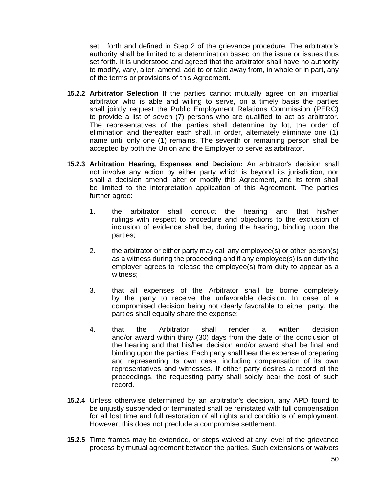set forth and defined in Step 2 of the grievance procedure. The arbitrator's authority shall be limited to a determination based on the issue or issues thus set forth. It is understood and agreed that the arbitrator shall have no authority to modify, vary, alter, amend, add to or take away from, in whole or in part, any of the terms or provisions of this Agreement.

- **15.2.2 Arbitrator Selection** If the parties cannot mutually agree on an impartial arbitrator who is able and willing to serve, on a timely basis the parties shall jointly request the Public Employment Relations Commission (PERC) to provide a list of seven (7) persons who are qualified to act as arbitrator. The representatives of the parties shall determine by lot, the order of elimination and thereafter each shall, in order, alternately eliminate one (1) name until only one (1) remains. The seventh or remaining person shall be accepted by both the Union and the Employer to serve as arbitrator.
- **15.2.3 Arbitration Hearing, Expenses and Decision:** An arbitrator's decision shall not involve any action by either party which is beyond its jurisdiction, nor shall a decision amend, alter or modify this Agreement, and its term shall be limited to the interpretation application of this Agreement. The parties further agree:
	- 1. the arbitrator shall conduct the hearing and that his/her rulings with respect to procedure and objections to the exclusion of inclusion of evidence shall be, during the hearing, binding upon the parties;
	- 2. the arbitrator or either party may call any employee(s) or other person(s) as a witness during the proceeding and if any employee(s) is on duty the employer agrees to release the employee(s) from duty to appear as a witness;
	- 3. that all expenses of the Arbitrator shall be borne completely by the party to receive the unfavorable decision. In case of a compromised decision being not clearly favorable to either party, the parties shall equally share the expense;
	- 4. that the Arbitrator shall render a written decision and/or award within thirty (30) days from the date of the conclusion of the hearing and that his/her decision and/or award shall be final and binding upon the parties. Each party shall bear the expense of preparing and representing its own case, including compensation of its own representatives and witnesses. If either party desires a record of the proceedings, the requesting party shall solely bear the cost of such record.
- **15.2.4** Unless otherwise determined by an arbitrator's decision, any APD found to be unjustly suspended or terminated shall be reinstated with full compensation for all lost time and full restoration of all rights and conditions of employment. However, this does not preclude a compromise settlement.
- **15.2.5** Time frames may be extended, or steps waived at any level of the grievance process by mutual agreement between the parties. Such extensions or waivers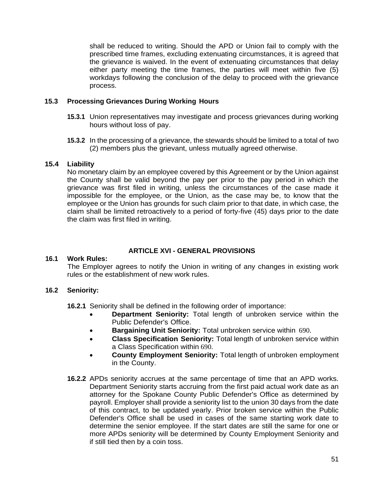shall be reduced to writing. Should the APD or Union fail to comply with the prescribed time frames, excluding extenuating circumstances, it is agreed that the grievance is waived. In the event of extenuating circumstances that delay either party meeting the time frames, the parties will meet within five (5) workdays following the conclusion of the delay to proceed with the grievance process.

#### **15.3 Processing Grievances During Working Hours**

- **15.3.1** Union representatives may investigate and process grievances during working hours without loss of pay.
- **15.3.2** In the processing of a grievance, the stewards should be limited to a total of two (2) members plus the grievant, unless mutually agreed otherwise.

#### **15.4 Liability**

No monetary claim by an employee covered by this Agreement or by the Union against the County shall be valid beyond the pay per prior to the pay period in which the grievance was first filed in writing, unless the circumstances of the case made it impossible for the employee, or the Union, as the case may be, to know that the employee or the Union has grounds for such claim prior to that date, in which case, the claim shall be limited retroactively to a period of forty-five (45) days prior to the date the claim was first filed in writing.

#### **ARTICLE XVI - GENERAL PROVISIONS**

#### **16.1 Work Rules:**

The Employer agrees to notify the Union in writing of any changes in existing work rules or the establishment of new work rules.

#### **16.2 Seniority:**

- **16.2.1** Seniority shall be defined in the following order of importance:
	- **Department Seniority:** Total length of unbroken service within the Public Defender's Office.
	- **Bargaining Unit Seniority:** Total unbroken service within 690.
	- **Class Specification Seniority:** Total length of unbroken service within a Class Specification within 690.
	- **County Employment Seniority:** Total length of unbroken employment in the County.
- **16.2.2** APDs seniority accrues at the same percentage of time that an APD works. Department Seniority starts accruing from the first paid actual work date as an attorney for the Spokane County Public Defender's Office as determined by payroll. Employer shall provide a seniority list to the union 30 days from the date of this contract, to be updated yearly. Prior broken service within the Public Defender's Office shall be used in cases of the same starting work date to determine the senior employee. If the start dates are still the same for one or more APDs seniority will be determined by County Employment Seniority and if still tied then by a coin toss.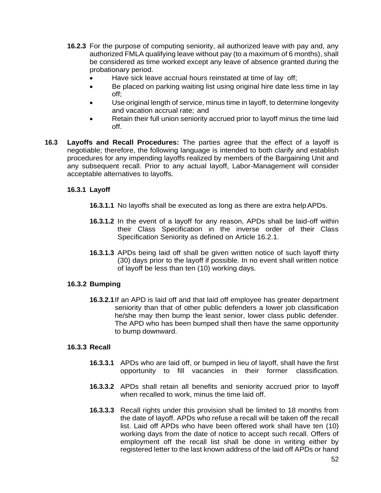- **16.2.3** For the purpose of computing seniority, ail authorized leave with pay and, any authorized FMLA qualifying leave without pay (to a maximum of 6 months), shall be considered as time worked except any leave of absence granted during the probationary period.
	- Have sick leave accrual hours reinstated at time of lay off;
	- Be placed on parking waiting list using original hire date less time in lay off;
	- Use original length of service, minus time in layoff, to determine longevity and vacation accrual rate; and
	- Retain their full union seniority accrued prior to layoff minus the time laid off.
- **16.3 Layoffs and Recall Procedures:** The parties agree that the effect of a layoff is negotiable; therefore, the following language is intended to both clarify and establish procedures for any impending layoffs realized by members of the Bargaining Unit and any subsequent recall. Prior to any actual layoff, Labor-Management will consider acceptable alternatives to layoffs.

#### **16.3.1 Layoff**

- **16.3.1.1** No layoffs shall be executed as long as there are extra helpAPDs.
- **16.3.1.2** In the event of a layoff for any reason, APDs shall be laid-off within their Class Specification in the inverse order of their Class Specification Seniority as defined on Article 16.2.1.
- **16.3.1.3** APDs being laid off shall be given written notice of such layoff thirty (30) days prior to the layoff if possible. In no event shall written notice of layoff be less than ten (10) working days.

#### **16.3.2 Bumping**

**16.3.2.1**If an APD is laid off and that laid off employee has greater department seniority than that of other public defenders a lower job classification he/she may then bump the least senior, lower class public defender. The APD who has been bumped shall then have the same opportunity to bump downward.

#### **16.3.3 Recall**

- **16.3.3.1** APDs who are laid off, or bumped in lieu of layoff, shall have the first opportunity to fill vacancies in their former classification.
- **16.3.3.2** APDs shall retain all benefits and seniority accrued prior to layoff when recalled to work, minus the time laid off.
- **16.3.3.3** Recall rights under this provision shall be limited to 18 months from the date of layoff. APDs who refuse a recall will be taken off the recall list. Laid off APDs who have been offered work shall have ten (10) working days from the date of notice to accept such recall. Offers of employment off the recall list shall be done in writing either by registered letter to the last known address of the laid off APDs or hand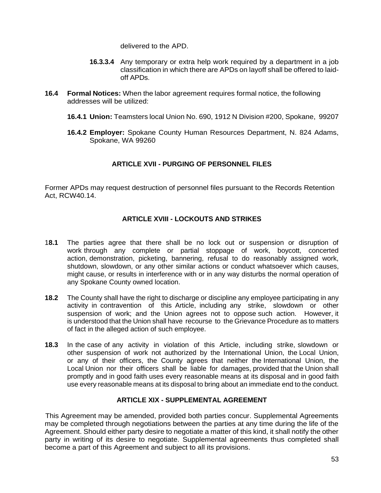delivered to the APD.

- **16.3.3.4** Any temporary or extra help work required by a department in a job classification in which there are APDs on layoff shall be offered to laidoff APDs.
- **16.4 Formal Notices:** When the labor agreement requires formal notice, the following addresses will be utilized:
	- **16.4.1 Union:** Teamsters local Union No. 690, 1912 N Division #200, Spokane, 99207
	- **16.4.2 Employer:** Spokane County Human Resources Department, N. 824 Adams, Spokane, WA 99260

## **ARTICLE XVII - PURGING OF PERSONNEL FILES**

Former APDs may request destruction of personnel files pursuant to the Records Retention Act, RCW40.14.

## **ARTICLE XVIII - LOCKOUTS AND STRIKES**

- 1**8.1** The parties agree that there shall be no lock out or suspension or disruption of work through any complete or partial stoppage of work, boycott, concerted action, demonstration, picketing, bannering, refusal to do reasonably assigned work, shutdown, slowdown, or any other similar actions or conduct whatsoever which causes, might cause, or results in interference with or in any way disturbs the normal operation of any Spokane County owned location.
- **18.2** The County shall have the right to discharge or discipline any employee participating in any activity in contravention of this Article, including any strike, slowdown or other suspension of work; and the Union agrees not to oppose such action. However, it is understood that the Union shall have recourse to the Grievance Procedure as to matters of fact in the alleged action of such employee.
- **18.3** In the case of any activity in violation of this Article, including strike, slowdown or other suspension of work not authorized by the International Union, the Local Union, or any of their officers, the County agrees that neither the International Union, the Local Union nor their officers shall be liable for damages, provided that the Union shall promptly and in good faith uses every reasonable means at its disposal and in good faith use every reasonable means at its disposal to bring about an immediate end to the conduct.

#### **ARTICLE XIX - SUPPLEMENTAL AGREEMENT**

This Agreement may be amended, provided both parties concur. Supplemental Agreements may be completed through negotiations between the parties at any time during the life of the Agreement. Should either party desire to negotiate a matter of this kind, it shall notify the other party in writing of its desire to negotiate. Supplemental agreements thus completed shall become a part of this Agreement and subject to all its provisions.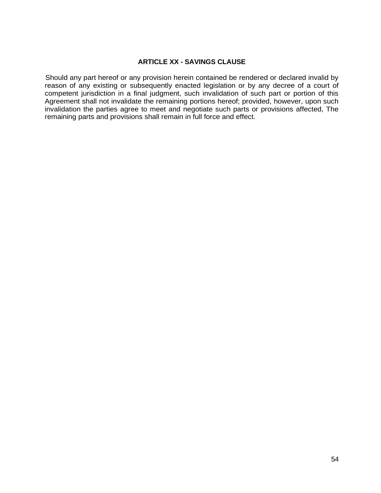#### **ARTICLE XX - SAVINGS CLAUSE**

Should any part hereof or any provision herein contained be rendered or declared invalid by reason of any existing or subsequently enacted legislation or by any decree of a court of competent jurisdiction in a final judgment, such invalidation of such part or portion of this Agreement shall not invalidate the remaining portions hereof; provided, however, upon such invalidation the parties agree to meet and negotiate such parts or provisions affected, The remaining parts and provisions shall remain in full force and effect.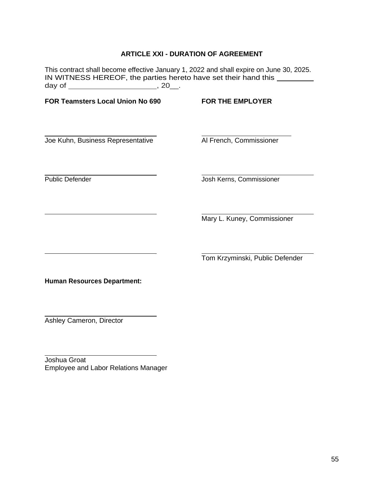#### **ARTICLE XXI - DURATION OF AGREEMENT**

This contract shall become effective January 1, 2022 and shall expire on June 30, 2025. IN WITNESS HEREOF, the parties hereto have set their hand this \_\_\_\_\_\_\_\_\_\_\_\_\_\_\_\_\_\_ day of  $\frac{1}{20}$ , 20\_.

**FOR Teamsters Local Union No 690 FOR THE EMPLOYER**

Joe Kuhn, Business Representative Al French, Commissioner

Public Defender The Test of Test of Test of Test of Test of Test of Test of Test of Test of Test of Test of Test of Test of Test of Test of Test of Test of Test of Test of Test of Test of Test of Test of Test of Test of Te

Mary L. Kuney, Commissioner

Tom Krzyminski, Public Defender

**Human Resources Department:**

Ashley Cameron, Director

Joshua Groat Employee and Labor Relations Manager